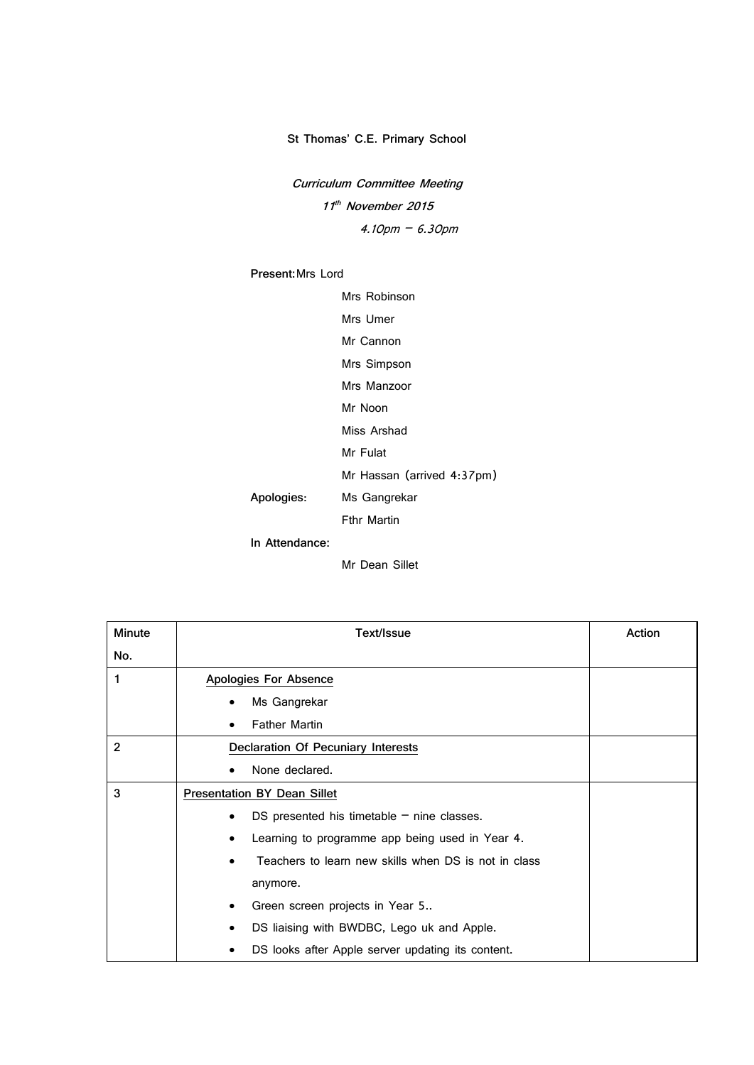## **St Thomas' C.E. Primary School**

**Curriculum Committee Meeting 11 th November 2015** 4.10pm – 6.30pm

## **Present:**Mrs Lord

Mrs Robinson

Mrs Umer

Mr Cannon

Mrs Simpson Mrs Manzoor

Mr Noon

Miss Arshad

Mr Fulat

Mr Hassan (arrived 4:37pm)

**Apologies**: Ms Gangrekar

Fthr Martin

**In Attendance:** 

Mr Dean Sillet

| <b>Minute</b>  | Text/Issue                                           | Action |
|----------------|------------------------------------------------------|--------|
| No.            |                                                      |        |
| 1              | Apologies For Absence                                |        |
|                | Ms Gangrekar                                         |        |
|                | <b>Father Martin</b>                                 |        |
| $\overline{2}$ | <b>Declaration Of Pecuniary Interests</b>            |        |
|                | None declared.                                       |        |
| 3              | <b>Presentation BY Dean Sillet</b>                   |        |
|                | DS presented his timetable $-$ nine classes.<br>٠    |        |
|                | Learning to programme app being used in Year 4.<br>٠ |        |
|                | Teachers to learn new skills when DS is not in class |        |
|                | anymore.                                             |        |
|                | Green screen projects in Year 5<br>٠                 |        |
|                | DS liaising with BWDBC, Lego uk and Apple.           |        |
|                | DS looks after Apple server updating its content.    |        |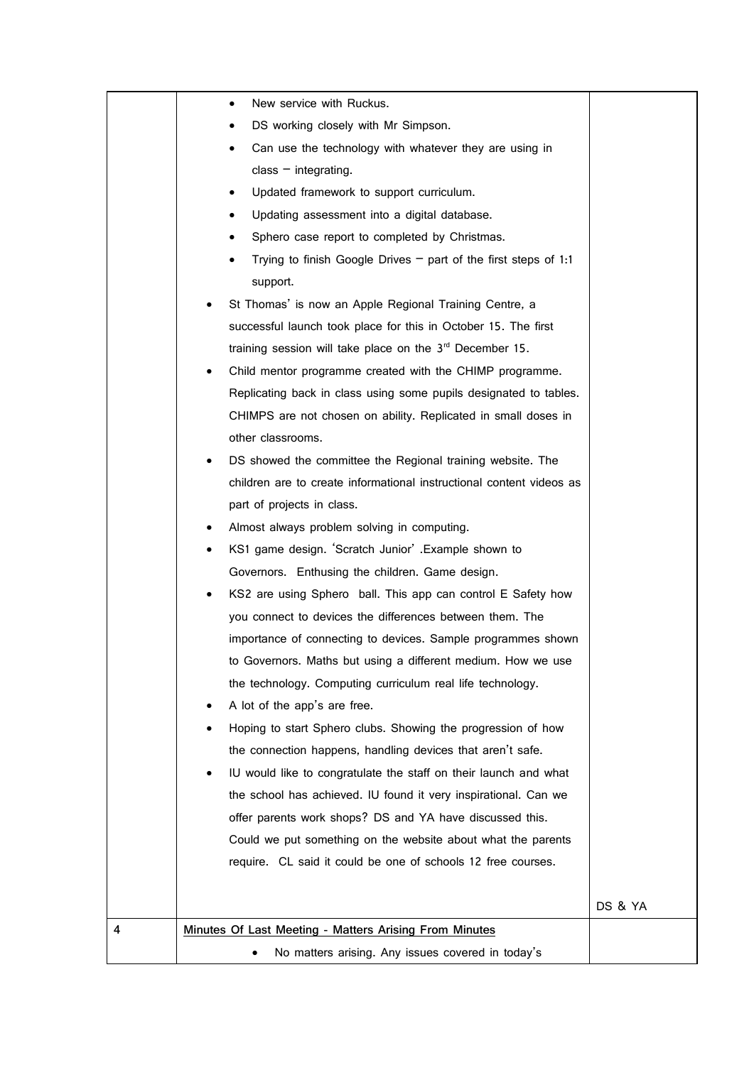|   | New service with Ruckus.<br>٠                                        |         |
|---|----------------------------------------------------------------------|---------|
|   | DS working closely with Mr Simpson.                                  |         |
|   | Can use the technology with whatever they are using in               |         |
|   | class $-$ integrating.                                               |         |
|   | Updated framework to support curriculum.                             |         |
|   | Updating assessment into a digital database.                         |         |
|   | Sphero case report to completed by Christmas.                        |         |
|   | Trying to finish Google Drives $-$ part of the first steps of 1:1    |         |
|   | support.                                                             |         |
|   | St Thomas' is now an Apple Regional Training Centre, a               |         |
|   | successful launch took place for this in October 15. The first       |         |
|   | training session will take place on the 3rd December 15.             |         |
|   | Child mentor programme created with the CHIMP programme.             |         |
|   | Replicating back in class using some pupils designated to tables.    |         |
|   | CHIMPS are not chosen on ability. Replicated in small doses in       |         |
|   | other classrooms.                                                    |         |
|   | DS showed the committee the Regional training website. The           |         |
|   | children are to create informational instructional content videos as |         |
|   | part of projects in class.                                           |         |
|   | Almost always problem solving in computing.                          |         |
|   | KS1 game design. 'Scratch Junior' .Example shown to                  |         |
|   | Governors. Enthusing the children. Game design.                      |         |
|   | KS2 are using Sphero ball. This app can control E Safety how         |         |
|   | you connect to devices the differences between them. The             |         |
|   | importance of connecting to devices. Sample programmes shown         |         |
|   | to Governors. Maths but using a different medium. How we use         |         |
|   | the technology. Computing curriculum real life technology.           |         |
|   | A lot of the app's are free.                                         |         |
|   | Hoping to start Sphero clubs. Showing the progression of how         |         |
|   | the connection happens, handling devices that aren't safe.           |         |
|   | IU would like to congratulate the staff on their launch and what     |         |
|   | the school has achieved. IU found it very inspirational. Can we      |         |
|   | offer parents work shops? DS and YA have discussed this.             |         |
|   | Could we put something on the website about what the parents         |         |
|   | require. CL said it could be one of schools 12 free courses.         |         |
|   |                                                                      |         |
|   |                                                                      | DS & YA |
| 4 | Minutes Of Last Meeting - Matters Arising From Minutes               |         |
|   | No matters arising. Any issues covered in today's                    |         |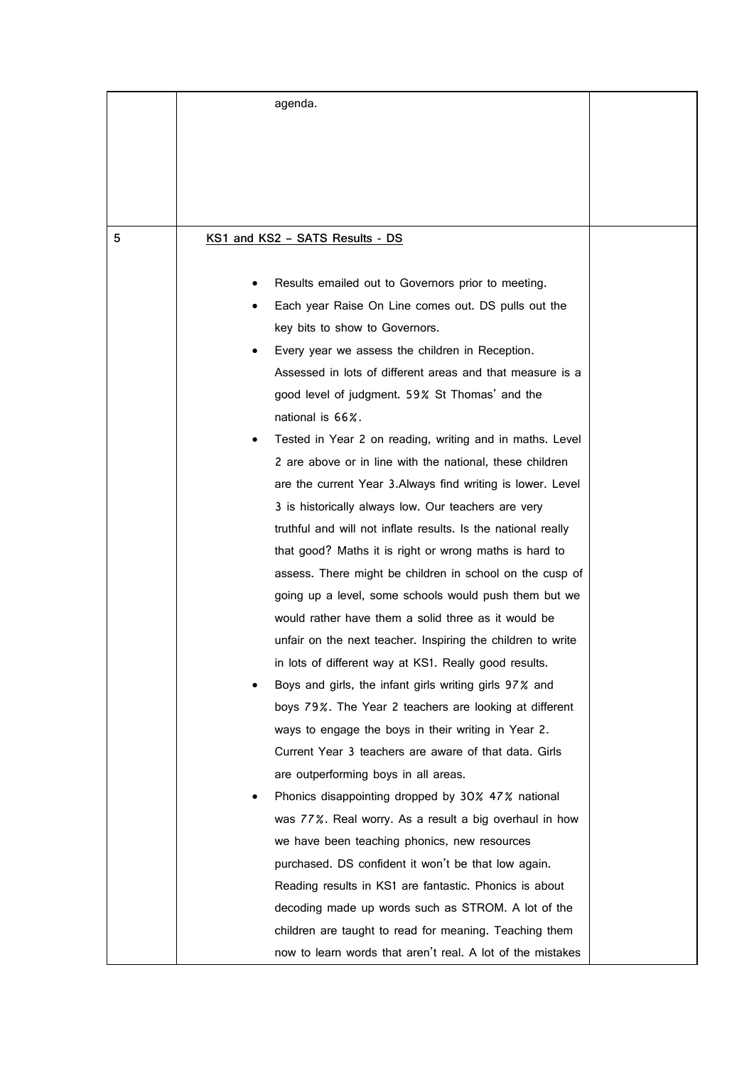|   | agenda.                                                       |  |
|---|---------------------------------------------------------------|--|
|   |                                                               |  |
|   |                                                               |  |
|   |                                                               |  |
|   |                                                               |  |
|   |                                                               |  |
| 5 | KS1 and KS2 - SATS Results - DS                               |  |
|   |                                                               |  |
|   | Results emailed out to Governors prior to meeting.            |  |
|   | Each year Raise On Line comes out. DS pulls out the           |  |
|   | key bits to show to Governors.                                |  |
|   | Every year we assess the children in Reception.               |  |
|   | Assessed in lots of different areas and that measure is a     |  |
|   | good level of judgment. 59% St Thomas' and the                |  |
|   | national is 66%.                                              |  |
|   | Tested in Year 2 on reading, writing and in maths. Level      |  |
|   | 2 are above or in line with the national, these children      |  |
|   | are the current Year 3.Always find writing is lower. Level    |  |
|   | 3 is historically always low. Our teachers are very           |  |
|   | truthful and will not inflate results. Is the national really |  |
|   | that good? Maths it is right or wrong maths is hard to        |  |
|   | assess. There might be children in school on the cusp of      |  |
|   | going up a level, some schools would push them but we         |  |
|   | would rather have them a solid three as it would be           |  |
|   | unfair on the next teacher. Inspiring the children to write   |  |
|   | in lots of different way at KS1. Really good results.         |  |
|   | Boys and girls, the infant girls writing girls 97% and        |  |
|   | boys 79%. The Year 2 teachers are looking at different        |  |
|   | ways to engage the boys in their writing in Year 2.           |  |
|   | Current Year 3 teachers are aware of that data. Girls         |  |
|   | are outperforming boys in all areas.                          |  |
|   | Phonics disappointing dropped by 30% 47% national             |  |
|   | was 77%. Real worry. As a result a big overhaul in how        |  |
|   | we have been teaching phonics, new resources                  |  |
|   | purchased. DS confident it won't be that low again.           |  |
|   | Reading results in KS1 are fantastic. Phonics is about        |  |
|   | decoding made up words such as STROM. A lot of the            |  |
|   | children are taught to read for meaning. Teaching them        |  |
|   | now to learn words that aren't real. A lot of the mistakes    |  |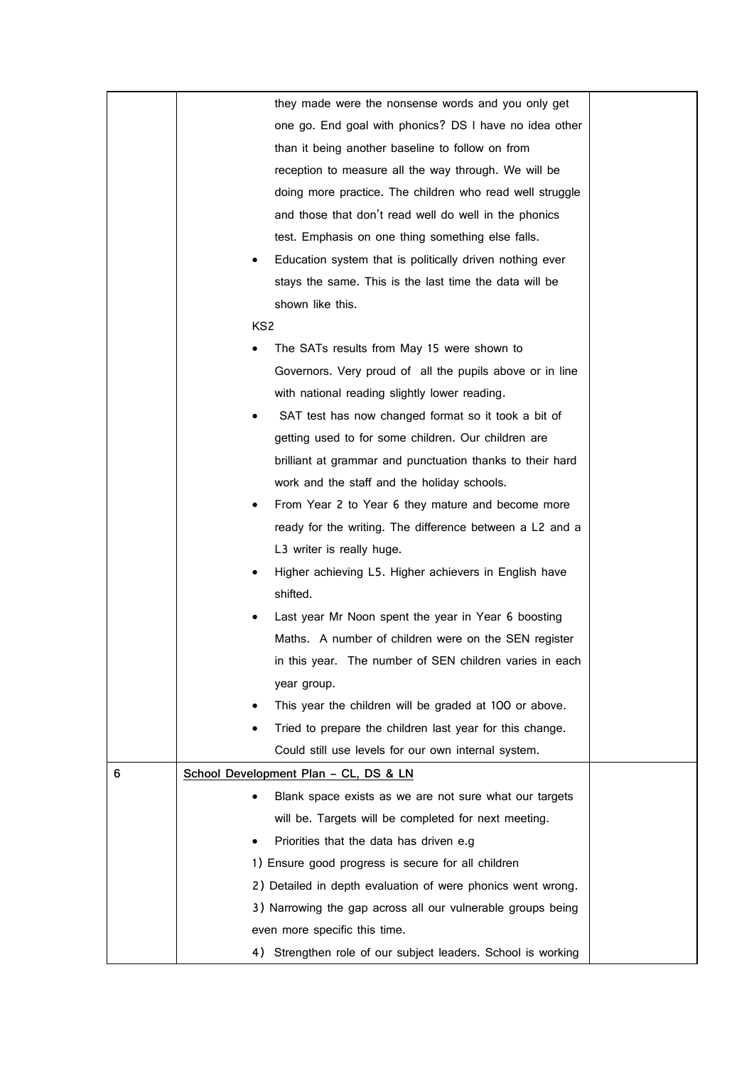|   | they made were the nonsense words and you only get           |  |
|---|--------------------------------------------------------------|--|
|   | one go. End goal with phonics? DS I have no idea other       |  |
|   | than it being another baseline to follow on from             |  |
|   | reception to measure all the way through. We will be         |  |
|   | doing more practice. The children who read well struggle     |  |
|   | and those that don't read well do well in the phonics        |  |
|   | test. Emphasis on one thing something else falls.            |  |
|   | Education system that is politically driven nothing ever     |  |
|   | stays the same. This is the last time the data will be       |  |
|   | shown like this.                                             |  |
|   | KS <sub>2</sub>                                              |  |
|   | The SATs results from May 15 were shown to                   |  |
|   | Governors. Very proud of all the pupils above or in line     |  |
|   | with national reading slightly lower reading.                |  |
|   | SAT test has now changed format so it took a bit of          |  |
|   | getting used to for some children. Our children are          |  |
|   | brilliant at grammar and punctuation thanks to their hard    |  |
|   | work and the staff and the holiday schools.                  |  |
|   | From Year 2 to Year 6 they mature and become more            |  |
|   | ready for the writing. The difference between a L2 and a     |  |
|   | L3 writer is really huge.                                    |  |
|   | Higher achieving L5. Higher achievers in English have        |  |
|   | shifted.                                                     |  |
|   | Last year Mr Noon spent the year in Year 6 boosting          |  |
|   | Maths. A number of children were on the SEN register         |  |
|   | in this year. The number of SEN children varies in each      |  |
|   | year group.                                                  |  |
|   | This year the children will be graded at 100 or above.       |  |
|   | Tried to prepare the children last year for this change.     |  |
|   | Could still use levels for our own internal system.          |  |
| 6 | School Development Plan - CL, DS & LN                        |  |
|   | Blank space exists as we are not sure what our targets       |  |
|   | will be. Targets will be completed for next meeting.         |  |
|   | Priorities that the data has driven e.g                      |  |
|   | 1) Ensure good progress is secure for all children           |  |
|   | 2) Detailed in depth evaluation of were phonics went wrong.  |  |
|   | 3) Narrowing the gap across all our vulnerable groups being  |  |
|   | even more specific this time.                                |  |
|   | 4) Strengthen role of our subject leaders. School is working |  |
|   |                                                              |  |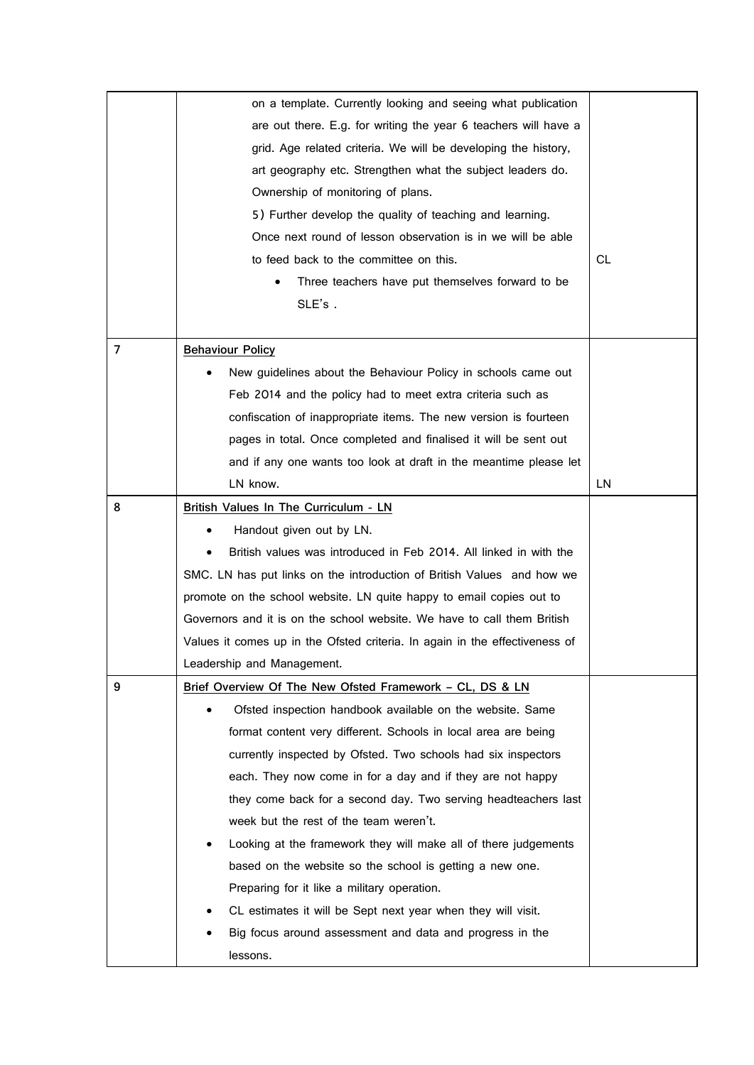|                | on a template. Currently looking and seeing what publication                |           |
|----------------|-----------------------------------------------------------------------------|-----------|
|                | are out there. E.g. for writing the year 6 teachers will have a             |           |
|                | grid. Age related criteria. We will be developing the history,              |           |
|                | art geography etc. Strengthen what the subject leaders do.                  |           |
|                | Ownership of monitoring of plans.                                           |           |
|                | 5) Further develop the quality of teaching and learning.                    |           |
|                | Once next round of lesson observation is in we will be able                 |           |
|                | to feed back to the committee on this.                                      | СL        |
|                | Three teachers have put themselves forward to be                            |           |
|                | SLE's.                                                                      |           |
|                |                                                                             |           |
| $\overline{7}$ | <b>Behaviour Policy</b>                                                     |           |
|                | New guidelines about the Behaviour Policy in schools came out               |           |
|                | Feb 2014 and the policy had to meet extra criteria such as                  |           |
|                | confiscation of inappropriate items. The new version is fourteen            |           |
|                | pages in total. Once completed and finalised it will be sent out            |           |
|                | and if any one wants too look at draft in the meantime please let           |           |
|                | LN know.                                                                    | <b>LN</b> |
| 8              | British Values In The Curriculum - LN                                       |           |
|                | Handout given out by LN.                                                    |           |
|                | British values was introduced in Feb 2014. All linked in with the           |           |
|                | SMC. LN has put links on the introduction of British Values and how we      |           |
|                | promote on the school website. LN quite happy to email copies out to        |           |
|                | Governors and it is on the school website. We have to call them British     |           |
|                | Values it comes up in the Ofsted criteria. In again in the effectiveness of |           |
|                | Leadership and Management.                                                  |           |
| 9              | Brief Overview Of The New Ofsted Framework - CL, DS & LN                    |           |
|                | Ofsted inspection handbook available on the website. Same                   |           |
|                | format content very different. Schools in local area are being              |           |
|                | currently inspected by Ofsted. Two schools had six inspectors               |           |
|                | each. They now come in for a day and if they are not happy                  |           |
|                | they come back for a second day. Two serving headteachers last              |           |
|                | week but the rest of the team weren't.                                      |           |
|                | Looking at the framework they will make all of there judgements             |           |
|                | based on the website so the school is getting a new one.                    |           |
|                | Preparing for it like a military operation.                                 |           |
|                | CL estimates it will be Sept next year when they will visit.                |           |
|                | Big focus around assessment and data and progress in the                    |           |
|                | lessons.                                                                    |           |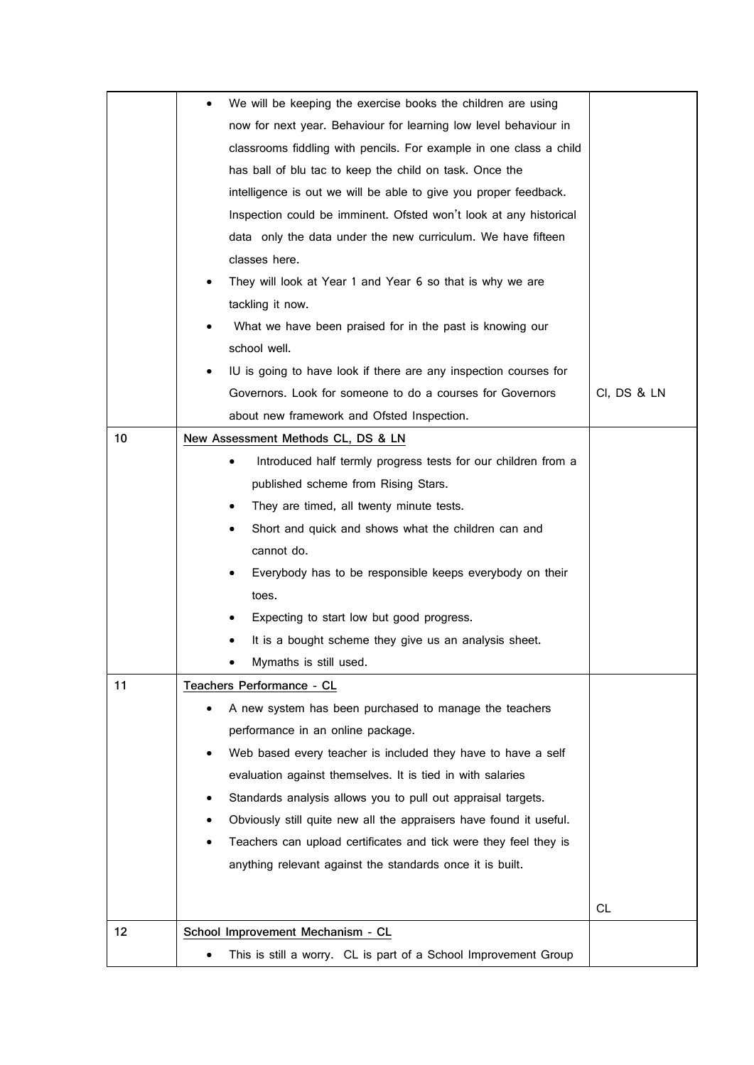|    | We will be keeping the exercise books the children are using       |             |
|----|--------------------------------------------------------------------|-------------|
|    | now for next year. Behaviour for learning low level behaviour in   |             |
|    | classrooms fiddling with pencils. For example in one class a child |             |
|    | has ball of blu tac to keep the child on task. Once the            |             |
|    | intelligence is out we will be able to give you proper feedback.   |             |
|    | Inspection could be imminent. Ofsted won't look at any historical  |             |
|    | data only the data under the new curriculum. We have fifteen       |             |
|    | classes here.                                                      |             |
|    | They will look at Year 1 and Year 6 so that is why we are          |             |
|    | tackling it now.                                                   |             |
|    | What we have been praised for in the past is knowing our           |             |
|    | school well.                                                       |             |
|    | IU is going to have look if there are any inspection courses for   |             |
|    | Governors. Look for someone to do a courses for Governors          | CI, DS & LN |
|    | about new framework and Ofsted Inspection.                         |             |
| 10 | New Assessment Methods CL, DS & LN                                 |             |
|    | Introduced half termly progress tests for our children from a      |             |
|    | published scheme from Rising Stars.                                |             |
|    | They are timed, all twenty minute tests.<br>$\bullet$              |             |
|    | Short and quick and shows what the children can and<br>٠           |             |
|    | cannot do.                                                         |             |
|    | Everybody has to be responsible keeps everybody on their           |             |
|    | toes.                                                              |             |
|    | Expecting to start low but good progress.                          |             |
|    | It is a bought scheme they give us an analysis sheet.              |             |
|    | Mymaths is still used.                                             |             |
| 11 | Teachers Performance - CL                                          |             |
|    | A new system has been purchased to manage the teachers             |             |
|    | performance in an online package.                                  |             |
|    | Web based every teacher is included they have to have a self       |             |
|    | evaluation against themselves. It is tied in with salaries         |             |
|    | Standards analysis allows you to pull out appraisal targets.       |             |
|    | Obviously still quite new all the appraisers have found it useful. |             |
|    | Teachers can upload certificates and tick were they feel they is   |             |
|    | anything relevant against the standards once it is built.          |             |
|    |                                                                    |             |
|    |                                                                    | CL.         |
| 12 | School Improvement Mechanism - CL                                  |             |
|    | This is still a worry. CL is part of a School Improvement Group    |             |